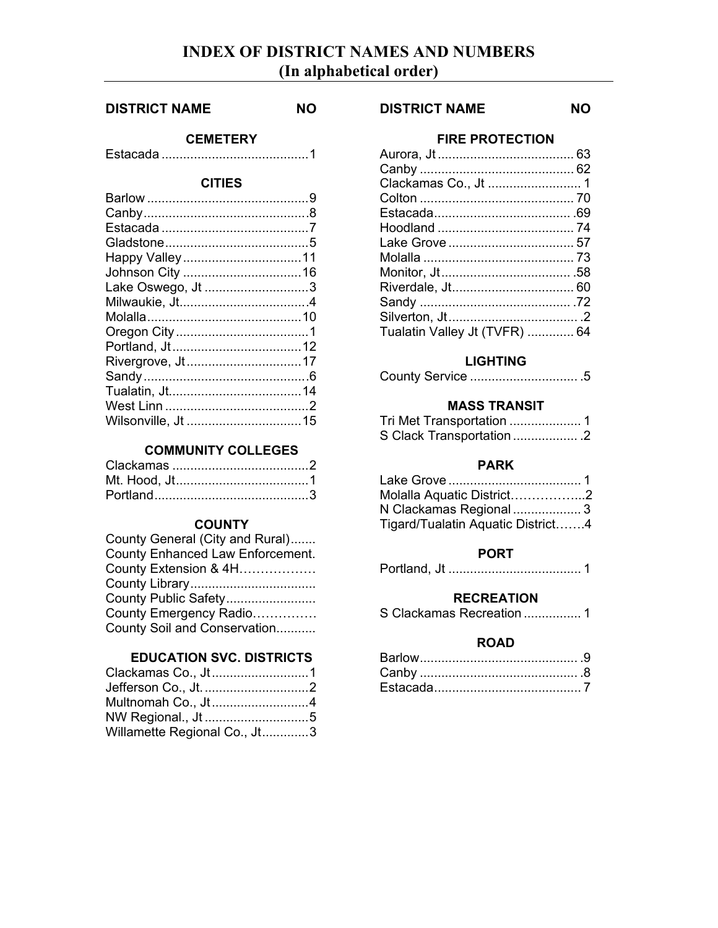# **INDEX OF DISTRICT NAMES AND NUMBERS (In alphabetical order)**

#### **DISTRICT NAME NO**

## **CEMETERY**

Estacada .........................................1

# **CITIES**

| Lake Oswego, Jt 3  |  |
|--------------------|--|
|                    |  |
|                    |  |
|                    |  |
|                    |  |
|                    |  |
|                    |  |
|                    |  |
|                    |  |
| Wilsonville, Jt 15 |  |
|                    |  |

## **COMMUNITY COLLEGES**

# **COUNTY**

| County General (City and Rural)  |
|----------------------------------|
| County Enhanced Law Enforcement. |
| County Extension & 4H            |
|                                  |
| County Public Safety             |
| County Emergency Radio           |
| County Soil and Conservation     |

## **EDUCATION SVC. DISTRICTS**

| Jefferson Co., Jt. 2<br>Multnomah Co., Jt4<br>NW Regional., Jt 5 | Clackamas Co., Jt1 |
|------------------------------------------------------------------|--------------------|
|                                                                  |                    |
|                                                                  |                    |
|                                                                  |                    |
| Willamette Regional Co., Jt3                                     |                    |

## **DISTRICT NAME NO**

#### **FIRE PROTECTION**

| Aurora, Jt……………………………… 63     |  |
|-------------------------------|--|
|                               |  |
| Clackamas Co., Jt  1          |  |
|                               |  |
|                               |  |
|                               |  |
|                               |  |
|                               |  |
|                               |  |
| Riverdale, Jt 60              |  |
|                               |  |
|                               |  |
| Tualatin Valley Jt (TVFR)  64 |  |
|                               |  |

## **LIGHTING**

|--|--|--|

## **MASS TRANSIT**

| Tri Met Transportation  1 |  |
|---------------------------|--|
| S Clack Transportation 2  |  |

#### **PARK**

| Molalla Aquatic District2         |  |
|-----------------------------------|--|
| N Clackamas Regional  3           |  |
| Tigard/Tualatin Aquatic District4 |  |

## **PORT**

```
Portland, Jt ..................................... 1
```
#### **RECREATION**

|  |  | S Clackamas Recreation  1 |  |
|--|--|---------------------------|--|
|--|--|---------------------------|--|

## **ROAD**